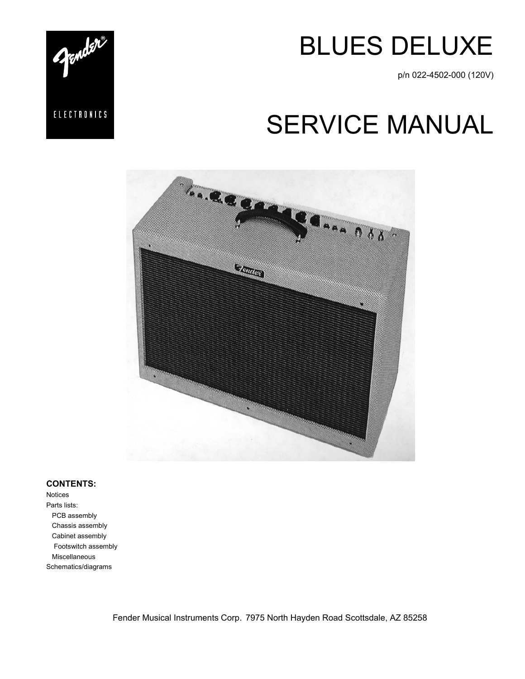

p/n 022-4502-000 (120V)

# SERVICE MANUAL



#### **CONTENTS:**

Notices Parts lists: PCB assembly Chassis assembly Cabinet assembly Footswitch assembly Miscellaneous Schematics/diagrams

Fender Musical Instruments Corp. 7975 North Hayden Road Scottsdale, AZ 85258

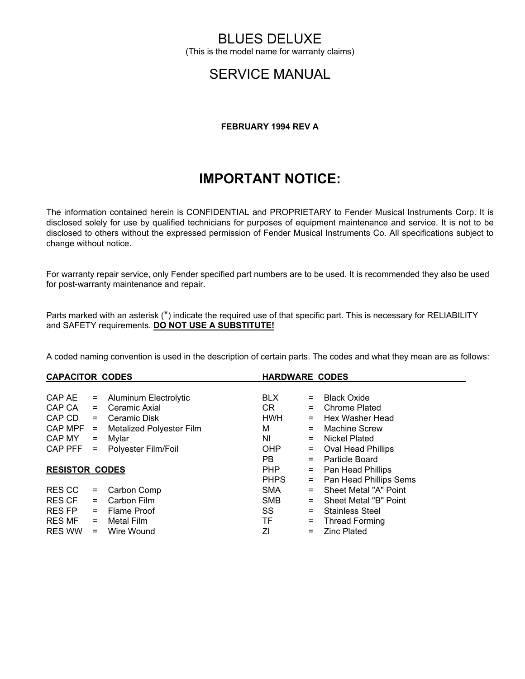### BLUES DELUXE

(This is the model name for warranty claims)

### SERVICE MANUAL

#### **FEBRUARY 1994 REV A**

### **IMPORTANT NOTICE:**

The information contained herein is CONFIDENTIAL and PROPRIETARY to Fender Musical Instruments Corp. It is disclosed solely for use by qualified technicians for purposes of equipment maintenance and service. It is not to be disclosed to others without the expressed permission of Fender Musical Instruments Co. All specifications subject to change without notice.

For warranty repair service, only Fender specified part numbers are to be used. It is recommended they also be used for post-warranty maintenance and repair.

Parts marked with an asterisk (\*) indicate the required use of that specific part. This is necessary for RELIABILITY and SAFETY requirements. **DO NOT USE A SUBSTITUTE!**

A coded naming convention is used in the description of certain parts. The codes and what they mean are as follows:

| <b>CAPACITOR CODES</b> |                                 |                                                    |     | <b>HARDWARE CODES</b>     |  |  |
|------------------------|---------------------------------|----------------------------------------------------|-----|---------------------------|--|--|
|                        |                                 |                                                    |     |                           |  |  |
| $=$                    | Aluminum Electrolytic           | <b>BLX</b>                                         | $=$ | <b>Black Oxide</b>        |  |  |
| $=$                    | Ceramic Axial                   | CR.                                                | $=$ | <b>Chrome Plated</b>      |  |  |
| CAP CD<br>$=$          | Ceramic Disk                    | <b>HWH</b>                                         | $=$ | Hex Washer Head           |  |  |
| $CAPMPF =$             | <b>Metalized Polyester Film</b> | м                                                  | $=$ | Machine Screw             |  |  |
| CAP MY                 |                                 | ΝI                                                 | $=$ | Nickel Plated             |  |  |
| CAP PFF<br>$=$         |                                 | OHP                                                | $=$ | <b>Oval Head Phillips</b> |  |  |
|                        |                                 | PB.                                                | $=$ | Particle Board            |  |  |
| <b>RESISTOR CODES</b>  |                                 | <b>PHP</b>                                         | $=$ | Pan Head Phillips         |  |  |
|                        |                                 | <b>PHPS</b>                                        | $=$ | Pan Head Phillips Sems    |  |  |
| $=$                    | Carbon Comp                     | <b>SMA</b>                                         | $=$ | Sheet Metal "A" Point     |  |  |
| $=$                    | Carbon Film                     | <b>SMB</b>                                         | $=$ | Sheet Metal "B" Point     |  |  |
| $=$                    |                                 | SS                                                 | $=$ | <b>Stainless Steel</b>    |  |  |
| RES MF<br>$=$          | Metal Film                      | TF.                                                | $=$ | <b>Thread Forming</b>     |  |  |
| $=$                    | Wire Wound                      | ΖI                                                 | $=$ | <b>Zinc Plated</b>        |  |  |
|                        | $=$                             | Mylar<br>Polyester Film/Foil<br><b>Flame Proof</b> |     |                           |  |  |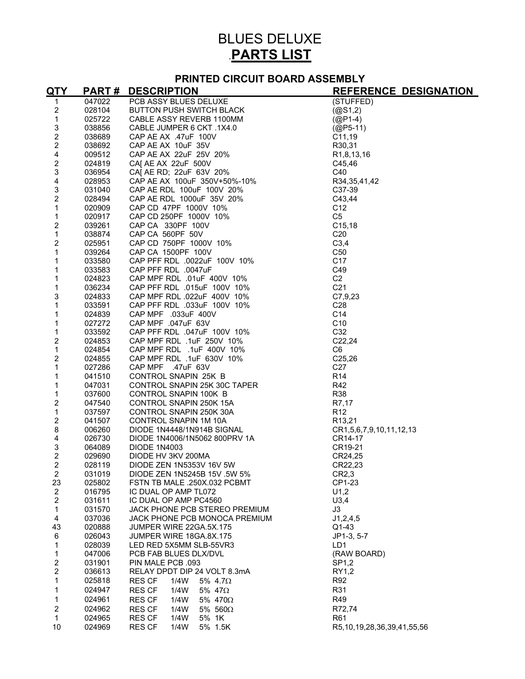## BLUES DELUXE .**PARTS LIST**

#### **PRINTED CIRCUIT BOARD ASSEMBLY**

| <u>QTY</u>                | <b>PART#</b> | <b>DESCRIPTION</b><br>PER ASSY BLUES DELUXE<br>PER ASSY BLUES DELUXE<br>CABLE JUMPER 6 CKT -11X4.0<br>CAP AE AX -47uF -100V<br>CAP AE AX -47uF -100V<br>CAP AE AX -47uF -100V<br>CAP AE AX -22uF -53V -20%<br>CAI AE AX -22uF -53V -20%<br>CAI AE RD. | REFERENCE DESIGNATION      |
|---------------------------|--------------|-------------------------------------------------------------------------------------------------------------------------------------------------------------------------------------------------------------------------------------------------------|----------------------------|
| $\mathbf{1}$              | 047022       |                                                                                                                                                                                                                                                       | (STUFFED)                  |
| $\sqrt{2}$                | 028104       |                                                                                                                                                                                                                                                       | (QS1,2)                    |
| $\mathbf{1}$              | 025722       |                                                                                                                                                                                                                                                       | $(QP1-4)$                  |
| $\ensuremath{\mathsf{3}}$ | 038856       |                                                                                                                                                                                                                                                       | $(QP5-11)$                 |
| $\mathbf 2$               | 038689       |                                                                                                                                                                                                                                                       | C11,19                     |
| $\sqrt{2}$                | 038692       |                                                                                                                                                                                                                                                       | R30,31                     |
| 4                         | 009512       |                                                                                                                                                                                                                                                       | R <sub>1</sub> ,8,13,16    |
| $\mathbf 2$               | 024819       |                                                                                                                                                                                                                                                       | C45,46                     |
| $\mathsf 3$               | 036954       |                                                                                                                                                                                                                                                       | C40                        |
| $\overline{\mathbf{4}}$   | 028953       |                                                                                                                                                                                                                                                       | R34,35,41,42               |
| $\ensuremath{\mathsf{3}}$ | 031040       |                                                                                                                                                                                                                                                       | C37-39                     |
| $\overline{2}$            | 028494       |                                                                                                                                                                                                                                                       | C43,44                     |
| $\mathbf 1$               | 020909       |                                                                                                                                                                                                                                                       | C <sub>12</sub>            |
| $\mathbf{1}$              | 020917       |                                                                                                                                                                                                                                                       | C <sub>5</sub>             |
| 2                         | 039261       |                                                                                                                                                                                                                                                       | C15,18                     |
| $\mathbf{1}$              | 038874       |                                                                                                                                                                                                                                                       | C <sub>20</sub>            |
| $\boldsymbol{2}$          | 025951       |                                                                                                                                                                                                                                                       | C3,4                       |
| $\mathbf{1}$              | 039264       |                                                                                                                                                                                                                                                       | C <sub>50</sub>            |
| $\mathbf{1}$              | 033580       |                                                                                                                                                                                                                                                       | C <sub>17</sub>            |
| $\mathbf{1}$              | 033583       |                                                                                                                                                                                                                                                       | C49                        |
| $\mathbf{1}$              | 024823       |                                                                                                                                                                                                                                                       | C <sub>2</sub>             |
| 1                         | 036234       |                                                                                                                                                                                                                                                       | C <sub>21</sub>            |
| 3                         | 024833       |                                                                                                                                                                                                                                                       | C7,9,23                    |
| $\mathbf{1}$              | 033591       |                                                                                                                                                                                                                                                       | C <sub>28</sub>            |
| 1                         | 024839       |                                                                                                                                                                                                                                                       | C14                        |
| 1                         | 027272       |                                                                                                                                                                                                                                                       | C <sub>10</sub>            |
| $\mathbf 1$               | 033592       |                                                                                                                                                                                                                                                       | C32                        |
| $\overline{\mathbf{c}}$   | 024853       |                                                                                                                                                                                                                                                       | C22,24                     |
| $\mathbf 1$               | 024854       |                                                                                                                                                                                                                                                       | C <sub>6</sub>             |
| $\overline{2}$            | 024855       |                                                                                                                                                                                                                                                       | C25,26                     |
| $\mathbf 1$               | 027286       |                                                                                                                                                                                                                                                       | C <sub>27</sub>            |
| 1                         | 041510       |                                                                                                                                                                                                                                                       | R <sub>14</sub>            |
| 1                         | 047031       |                                                                                                                                                                                                                                                       | R42                        |
| 1                         | 037600       |                                                                                                                                                                                                                                                       | <b>R38</b>                 |
| 2                         | 047540       |                                                                                                                                                                                                                                                       | R7,17                      |
| $\mathbf 1$               | 037597       |                                                                                                                                                                                                                                                       | R <sub>12</sub>            |
| $\boldsymbol{2}$          | 041507       |                                                                                                                                                                                                                                                       | R <sub>13</sub> ,21        |
| $\bf 8$                   | 006260       |                                                                                                                                                                                                                                                       | CR1,5,6,7,9,10,11,12,13    |
| $\overline{\mathbf{4}}$   | 026730       |                                                                                                                                                                                                                                                       | CR14-17                    |
| 3                         | 064089       |                                                                                                                                                                                                                                                       | CR19-21                    |
| $\overline{2}$            | 029690       |                                                                                                                                                                                                                                                       | CR24,25                    |
| $\overline{2}$            | 028119       |                                                                                                                                                                                                                                                       | CR22,23                    |
| $\overline{2}$            | 031019       | DIODE ZEN 1N5245B 15V .5W 5%                                                                                                                                                                                                                          | CR2,3                      |
| 23                        | 025802       | FSTN TB MALE .250X.032 PCBMT                                                                                                                                                                                                                          | CP1-23                     |
| $\boldsymbol{2}$          | 016795       | IC DUAL OP AMP TL072                                                                                                                                                                                                                                  | U1,2                       |
| $\overline{c}$            | 031611       | IC DUAL OP AMP PC4560                                                                                                                                                                                                                                 | U3,4                       |
| 1                         | 031570       | JACK PHONE PCB STEREO PREMIUM                                                                                                                                                                                                                         | J3                         |
| 4                         | 037036       | JACK PHONE PCB MONOCA PREMIUM                                                                                                                                                                                                                         | J1, 2, 4, 5                |
| 43                        | 020888       | JUMPER WIRE 22GA.5X.175                                                                                                                                                                                                                               | $Q1-43$                    |
| 6                         | 026043       | JUMPER WIRE 18GA.8X.175                                                                                                                                                                                                                               | JP1-3, 5-7                 |
| 1                         | 028039       | LED RED 5X5MM SLB-55VR3                                                                                                                                                                                                                               | LD <sub>1</sub>            |
| 1                         | 047006       | PCB FAB BLUES DLX/DVL                                                                                                                                                                                                                                 | (RAW BOARD)                |
| $\boldsymbol{2}$          | 031901       | PIN MALE PCB .093                                                                                                                                                                                                                                     | SP1,2                      |
| $\overline{\mathbf{c}}$   | 036613       | RELAY DPDT DIP 24 VOLT 8.3mA                                                                                                                                                                                                                          | RY1,2                      |
| 1                         | 025818       | <b>RES CF</b><br>1/4W<br>5% $4.7\Omega$                                                                                                                                                                                                               | R92                        |
| $\mathbf{1}$              | 024947       | <b>RES CF</b><br>1/4W<br>5% 47 $\Omega$                                                                                                                                                                                                               | R31                        |
| 1                         | 024961       | <b>RES CF</b><br>1/4W<br>5% 470Ω                                                                                                                                                                                                                      | R49                        |
| $\boldsymbol{2}$          | 024962       | <b>RES CF</b><br>1/4W<br>5% 560 $\Omega$                                                                                                                                                                                                              | R72,74                     |
| $\mathbf{1}$              | 024965       | <b>RES CF</b><br>1/4W<br>5% 1K                                                                                                                                                                                                                        | R <sub>61</sub>            |
| 10                        | 024969       | <b>RES CF</b><br>1/4W<br>5% 1.5K                                                                                                                                                                                                                      | R5,10,19,28,36,39,41,55,56 |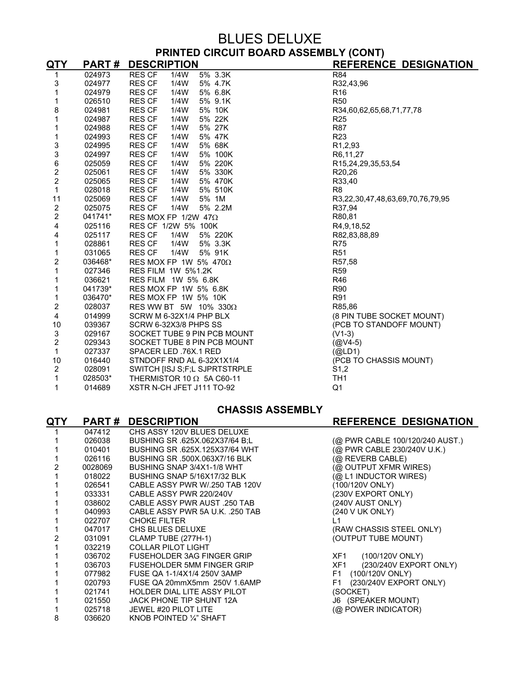### BLUES DELUXE **PRINTED CIRCUIT BOARD ASSEMBLY (CONT)**

| QTY                                        | <b>PART#</b> | <b>DESCRIPTION</b>               | <b>REFERENCE DESIGNATION</b>     |
|--------------------------------------------|--------------|----------------------------------|----------------------------------|
| 1                                          | 024973       | 5% 3.3K<br><b>RES CF</b><br>1/4W | R84                              |
| 3                                          | 024977       | <b>RES CF</b><br>1/4W<br>5% 4.7K | R32,43,96                        |
| 1                                          | 024979       | <b>RES CF</b><br>1/4W<br>5% 6.8K | R <sub>16</sub>                  |
| 1                                          | 026510       | <b>RES CF</b><br>1/4W<br>5% 9.1K | <b>R50</b>                       |
| 8                                          | 024981       | <b>RES CF</b><br>1/4W<br>5% 10K  | R34,60,62,65,68,71,77,78         |
| 1                                          | 024987       | <b>RES CF</b><br>1/4W<br>5% 22K  | R <sub>25</sub>                  |
| 1                                          | 024988       | <b>RES CF</b><br>1/4W<br>5% 27K  | <b>R87</b>                       |
| 1                                          | 024993       | <b>RES CF</b><br>1/4W<br>5% 47K  | R <sub>23</sub>                  |
| 3<br>3                                     | 024995       | 5% 68K<br><b>RES CF</b><br>1/4W  | R <sub>1</sub> ,2,93             |
|                                            | 024997       | <b>RES CF</b><br>1/4W<br>5% 100K | R6,11,27                         |
|                                            | 025059       | <b>RES CF</b><br>1/4W<br>5% 220K | R15,24,29,35,53,54               |
| $\begin{array}{c} 6 \\ 2 \\ 2 \end{array}$ | 025061       | <b>RES CF</b><br>1/4W<br>5% 330K | R20,26                           |
|                                            | 025065       | <b>RES CF</b><br>1/4W<br>5% 470K | R33,40                           |
| $\mathbf{1}$                               | 028018       | <b>RES CF</b><br>1/4W<br>5% 510K | R <sub>8</sub>                   |
| 11                                         | 025069       | <b>RES CF</b><br>1/4W<br>5% 1M   | R3,22,30,47,48,63,69,70,76,79,95 |
| $\overline{2}$                             | 025075       | <b>RES CF</b><br>1/4W<br>5% 2.2M | R37,94                           |
| $\overline{2}$                             | 041741*      | RES MOX FP 1/2W 47 $\Omega$      | R80,81                           |
| 4                                          | 025116       | RES CF 1/2W 5% 100K              | R4,9,18,52                       |
| 4                                          | 025117       | <b>RES CF</b><br>1/4W<br>5% 220K | R82,83,88,89                     |
| 1                                          | 028861       | 1/4W<br><b>RES CF</b><br>5% 3.3K | <b>R75</b>                       |
| 1                                          | 031065       | <b>RES CF</b><br>1/4W<br>5% 91K  | <b>R51</b>                       |
| 2                                          | 036468*      | RES MOX FP 1W 5% 470 $\Omega$    | R57,58                           |
| 1                                          | 027346       | <b>RES FILM 1W 5%1.2K</b>        | <b>R59</b>                       |
| 1                                          | 036621       | RES FILM 1W 5% 6.8K              | R46                              |
| 1                                          | 041739*      | RES MOX FP 1W 5% 6.8K            | R90                              |
| 1                                          | 036470*      | RES MOX FP 1W 5% 10K             | R91                              |
| 2                                          | 028037       | RES WW BT 5W 10% 330 $\Omega$    | R85,86                           |
| 4                                          | 014999       | SCRW M 6-32X1/4 PHP BLX          | (8 PIN TUBE SOCKET MOUNT)        |
| 10                                         | 039367       | SCRW 6-32X3/8 PHPS SS            | (PCB TO STANDOFF MOUNT)          |
| 3                                          | 029167       | SOCKET TUBE 9 PIN PCB MOUNT      | $(V1-3)$                         |
| $\overline{2}$                             | 029343       | SOCKET TUBE 8 PIN PCB MOUNT      | $(QW4-5)$                        |
| 1                                          | 027337       | SPACER LED .76X.1 RED            | (QLD1)                           |
| 10                                         | 016440       | STNDOFF RND AL 6-32X1X1/4        | (PCB TO CHASSIS MOUNT)           |
| $\overline{2}$                             | 028091       | SWITCH [ISJ S;F;L SJPRTSTRPLE    | S <sub>1</sub> ,2                |
| 1                                          | 028503*      | THERMISTOR 10 $\Omega$ 5A C60-11 | TH <sub>1</sub>                  |
| 1                                          | 014689       | XSTR N-CH JFET J111 TO-92        | Q <sub>1</sub>                   |
|                                            |              |                                  |                                  |

#### **CHASSIS ASSEMBLY**

#### **QTY PART # DESCRIPTION REFERENCE DESIGNATION**  1 047412 CHS ASSY 120V BLUES DELUXE 1 026038 BUSHING SR .625X.062X37/64 B;L (@ PWR CABLE 100/120/240 AUST.) 1 010401 BUSHING SR .625X.125X37/64 WHT (@ PWR CABLE 230/240V U.K.) 1 026116 BUSHING SR .500X.063X7/16 BLK (@ REVERB CABLE)<br>2 0028069 BUSHING SNAP 3/4X1-1/8 WHT (@ OUTPUT XFMR W 2 0028069 BUSHING SNAP 3/4X1-1/8 WHT (@ OUTPUT XFMR WIRES) 1 018022 BUSHING SNAP 5/16X17/32 BLK (@ L1 INDUCTOR WIRES)<br>1 026541 CABLE ASSY PWR W/.250 TAB 120V (100/120V ONLY) 026541 CABLE ASSY PWR W/.250 TAB 120V (100/120V ONLY)<br>1 033331 CABLE ASSY PWR 220/240V (230V EXPORT ONLY) 1 033331 CABLE ASSY PWR 220/240V 1 038602 CABLE ASSY PWR AUST .250 TAB (240V AUST ONLY) 1 040993 CABLE ASSY PWR 5A U.K. .250 TAB (240 V UK ONLY) 1 022707 CHOKE FILTER L1 1 047017 CHS BLUES DELUXE (RAW CHASSIS STEEL ONLY) 2 031091 CLAMP TUBE (277H-1) (OUTPUT TUBE MOUNT) 1 032219 COLLAR PILOT LIGHT 1 036702 FUSEHOLDER 3AG FINGER GRIP XF1 (100/120V ONLY) 1 036703 FUSEHOLDER 5MM FINGER GRIP XF1 (230/240V EXPORT ONLY) 1 077982 FUSE QA 1-1/4X1/4 250V 3AMP F1 (100/120V ONLY)<br>1 020793 FUSE QA 20mmX5mm\_250V 1.6AMP F1 (230/240V EXPORT ONLY) 1 020793 FUSE QA 20mmX5mm 250V 1.6AMP 1 021741 HOLDER DIAL LITE ASSY PILOT (SOCKET) 1 021550 JACK PHONE TIP SHUNT 12A J6 (SPEAKER MOUNT) 1 025718 JEWEL #20 PILOT LITE (@ POWER INDICATOR) 8 036620 KNOB POINTED 1/4" SHAFT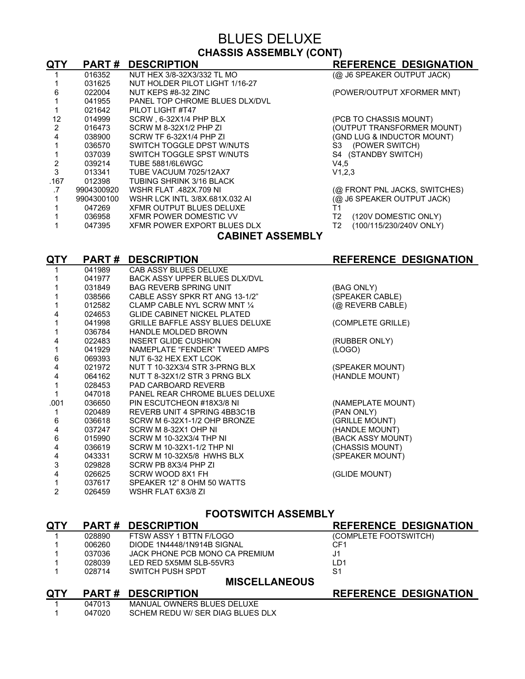### BLUES DELUXE **CHASSIS ASSEMBLY (CONT)**

| QTY               | <b>PART#</b> | <b>DESCRIPTION</b>             | <b>REFERENCE DESIGNATION</b>  |
|-------------------|--------------|--------------------------------|-------------------------------|
|                   | 016352       | NUT HEX 3/8-32X3/332 TL MO     | (@ J6 SPEAKER OUTPUT JACK)    |
|                   | 031625       | NUT HOLDER PILOT LIGHT 1/16-27 |                               |
| 6                 | 022004       | NUT KEPS #8-32 ZINC            | (POWER/OUTPUT XFORMER MNT)    |
|                   | 041955       | PANEL TOP CHROME BLUES DLX/DVL |                               |
|                   | 021642       | PILOT LIGHT #T47               |                               |
| 12                | 014999       | SCRW, 6-32X1/4 PHP BLX         | (PCB TO CHASSIS MOUNT)        |
| $\overline{2}$    | 016473       | SCRW M 8-32X1/2 PHP ZI         | (OUTPUT TRANSFORMER MOUNT)    |
| 4                 | 038900       | SCRW TF 6-32X1/4 PHP ZI        | (GND LUG & INDUCTOR MOUNT)    |
|                   | 036570       | SWITCH TOGGLE DPST W/NUTS      | S3 (POWER SWITCH)             |
|                   | 037039       | SWITCH TOGGLE SPST W/NUTS      | S4 (STANDBY SWITCH)           |
|                   | 039214       | <b>TUBE 5881/6L6WGC</b>        | V4,5                          |
| 3                 | 013341       | TUBE VACUUM 7025/12AX7         | V1,2,3                        |
| .167              | 012398       | TUBING SHRINK 3/16 BLACK       |                               |
| .7                | 9904300920   | <b>WSHR FLAT .482X.709 NI</b>  | (@ FRONT PNL JACKS, SWITCHES) |
|                   | 9904300100   | WSHR LCK INTL 3/8X.681X.032 AL | (@ J6 SPEAKER OUTPUT JACK)    |
|                   | 047269       | XFMR OUTPUT BLUES DELUXE       | Τ1                            |
|                   | 036958       | XFMR POWER DOMESTIC VV         | (120V DOMESTIC ONLY)<br>T2    |
|                   | 047395       | XFMR POWER EXPORT BLUES DLX    | (100/115/230/240V ONLY)<br>T2 |
| CARINET ASSEMRI Y |              |                                |                               |

### **CABINET ASSEMBLY**

| QTY  | PART#  | <b>DESCRIPTION</b>                     | <b>REFERENCE DESIGNATION</b> |
|------|--------|----------------------------------------|------------------------------|
|      | 041989 | CAB ASSY BLUES DELUXE                  |                              |
|      | 041977 | <b>BACK ASSY UPPER BLUES DLX/DVL</b>   |                              |
|      | 031849 | <b>BAG REVERB SPRING UNIT</b>          | (BAG ONLY)                   |
|      | 038566 | CABLE ASSY SPKR RT ANG 13-1/2"         | (SPEAKER CABLE)              |
|      | 012582 | CLAMP CABLE NYL SCRW MNT 1/4           | (@ REVERB CABLE)             |
| 4    | 024653 | <b>GLIDE CABINET NICKEL PLATED</b>     |                              |
|      | 041998 | <b>GRILLE BAFFLE ASSY BLUES DELUXE</b> | (COMPLETE GRILLE)            |
|      | 036784 | <b>HANDLE MOLDED BROWN</b>             |                              |
| 4    | 022483 | INSERT GLIDE CUSHION                   | (RUBBER ONLY)                |
|      | 041929 | NAMEPLATE "FENDER" TWEED AMPS          | (LOGO)                       |
| 6    | 069393 | NUT 6-32 HEX EXT LCOK                  |                              |
| 4    | 021972 | NUT T 10-32X3/4 STR 3-PRNG BLX         | (SPEAKER MOUNT)              |
| 4    | 064162 | NUT T 8-32X1/2 STR 3 PRNG BLX          | (HANDLE MOUNT)               |
|      | 028453 | <b>PAD CARBOARD REVERB</b>             |                              |
|      | 047018 | PANEL REAR CHROME BLUES DELUXE         |                              |
| .001 | 036650 | PIN ESCUTCHEON #18X3/8 NI              | (NAMEPLATE MOUNT)            |
|      | 020489 | REVERB UNIT 4 SPRING 4BB3C1B           | (PAN ONLY)                   |
| 6    | 036618 | SCRW M 6-32X1-1/2 OHP BRONZE           | (GRILLE MOUNT)               |
| 4    | 037247 | SCRW M 8-32X1 OHP NI                   | (HANDLE MOUNT)               |
| 6    | 015990 | SCRW M 10-32X3/4 THP NI                | (BACK ASSY MOUNT)            |
| 4    | 036619 | SCRW M 10-32X1-1/2 THP NI              | (CHASSIS MOUNT)              |
| 4    | 043331 | SCRW M 10-32X5/8 HWHS BLX              | (SPEAKER MOUNT)              |
| 3    | 029828 | SCRW PB 8X3/4 PHP ZI                   |                              |
| 4    | 026625 | SCRW WOOD 8X1 FH                       | (GLIDE MOUNT)                |
|      | 037617 | SPEAKER 12" 8 OHM 50 WATTS             |                              |
| 2    | 026459 | WSHR FLAT 6X3/8 ZI                     |                              |

#### **FOOTSWITCH ASSEMBLY**

| <b>QTY</b> | <b>PART#</b>         | <b>DESCRIPTION</b>               | <b>REFERENCE DESIGNATION</b> |  |
|------------|----------------------|----------------------------------|------------------------------|--|
|            | 028890               | FTSW ASSY 1 BTTN F/LOGO          | (COMPLETE FOOTSWITCH)        |  |
|            | 006260               | DIODE 1N4448/1N914B SIGNAL       | CF <sub>1</sub>              |  |
|            | 037036               | JACK PHONE PCB MONO CA PREMIUM   | J <sub>1</sub>               |  |
|            | 028039               | LED RED 5X5MM SLB-55VR3          | LD <sub>1</sub>              |  |
|            | 028714               | SWITCH PUSH SPDT                 | S <sub>1</sub>               |  |
|            | <b>MISCELLANEOUS</b> |                                  |                              |  |
| <b>QTY</b> | <b>PART#</b>         | <b>DESCRIPTION</b>               | <b>REFERENCE DESIGNATION</b> |  |
|            | 047013               | MANUAL OWNERS BLUES DELUXE       |                              |  |
|            | 047020               | SCHEM REDU W/ SER DIAG BLUES DLX |                              |  |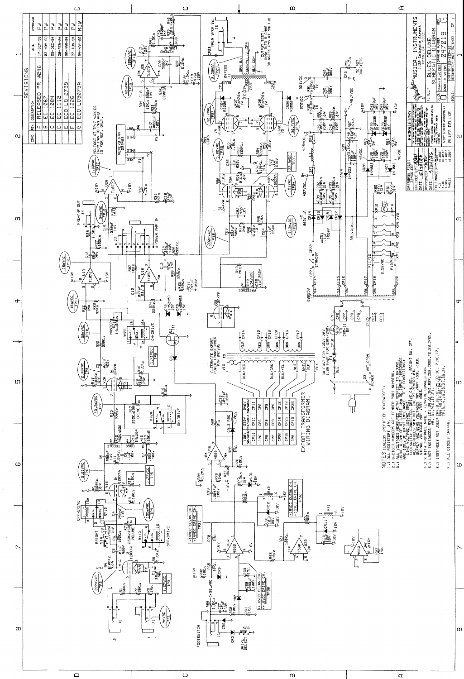

 $\hfill\square$ 

 $\,\mathrm{m}$ 

 $\sigma$